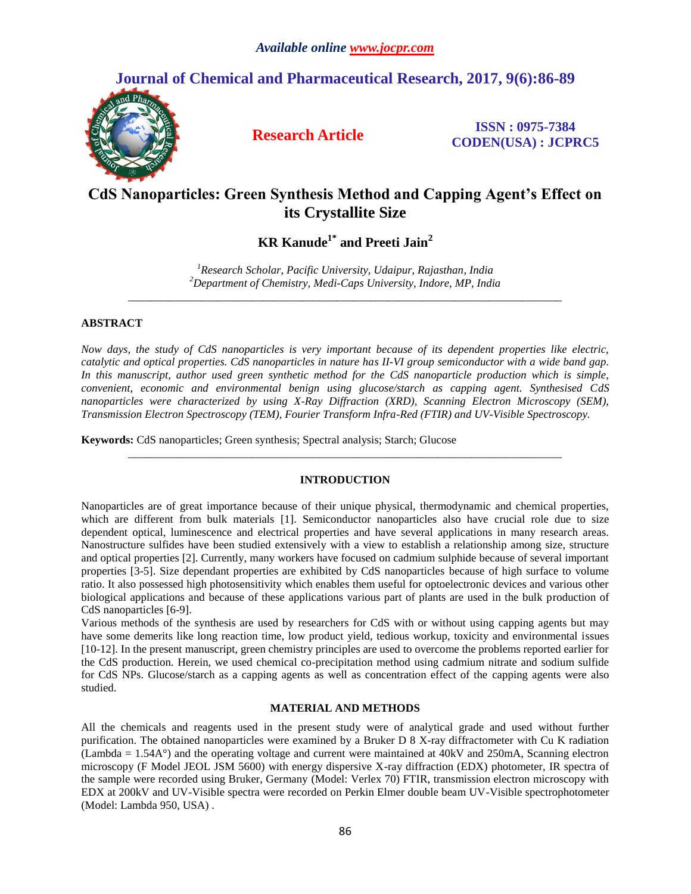## **Journal of Chemical and Pharmaceutical Research, 2017, 9(6):86-89**



**Research Article ISSN : 0975-7384 CODEN(USA) : JCPRC5**

# **CdS Nanoparticles: Green Synthesis Method and Capping Agent's Effect on its Crystallite Size**

**KR Kanude1\* and Preeti Jain<sup>2</sup>**

*<sup>1</sup>Research Scholar, Pacific University, Udaipur, Rajasthan, India <sup>2</sup>Department of Chemistry, Medi-Caps University, Indore, MP, India \_\_\_\_\_\_\_\_\_\_\_\_\_\_\_\_\_\_\_\_\_\_\_\_\_\_\_\_\_\_\_\_\_\_\_\_\_\_\_\_\_\_\_\_\_\_\_\_\_\_\_\_\_\_\_\_\_\_\_\_\_\_\_\_\_\_\_\_\_\_\_\_\_\_\_\_\_*

## **ABSTRACT**

*Now days, the study of CdS nanoparticles is very important because of its dependent properties like electric, catalytic and optical properties. CdS nanoparticles in nature has II-VI group semiconductor with a wide band gap. In this manuscript, author used green synthetic method for the CdS nanoparticle production which is simple, convenient, economic and environmental benign using glucose/starch as capping agent. Synthesised CdS nanoparticles were characterized by using X-Ray Diffraction (XRD), Scanning Electron Microscopy (SEM), Transmission Electron Spectroscopy (TEM), Fourier Transform Infra-Red (FTIR) and UV-Visible Spectroscopy.* 

**Keywords:** CdS nanoparticles; Green synthesis; Spectral analysis; Starch; Glucose

## **INTRODUCTION**

*\_\_\_\_\_\_\_\_\_\_\_\_\_\_\_\_\_\_\_\_\_\_\_\_\_\_\_\_\_\_\_\_\_\_\_\_\_\_\_\_\_\_\_\_\_\_\_\_\_\_\_\_\_\_\_\_\_\_\_\_\_\_\_\_\_\_\_\_\_\_\_\_\_\_\_\_\_*

Nanoparticles are of great importance because of their unique physical, thermodynamic and chemical properties, which are different from bulk materials [1]. Semiconductor nanoparticles also have crucial role due to size dependent optical, luminescence and electrical properties and have several applications in many research areas. Nanostructure sulfides have been studied extensively with a view to establish a relationship among size, structure and optical properties [2]. Currently, many workers have focused on cadmium sulphide because of several important properties [3-5]. Size dependant properties are exhibited by CdS nanoparticles because of high surface to volume ratio. It also possessed high photosensitivity which enables them useful for optoelectronic devices and various other biological applications and because of these applications various part of plants are used in the bulk production of CdS nanoparticles [6-9].

Various methods of the synthesis are used by researchers for CdS with or without using capping agents but may have some demerits like long reaction time, low product yield, tedious workup, toxicity and environmental issues [10-12]. In the present manuscript, green chemistry principles are used to overcome the problems reported earlier for the CdS production. Herein, we used chemical co-precipitation method using cadmium nitrate and sodium sulfide for CdS NPs. Glucose/starch as a capping agents as well as concentration effect of the capping agents were also studied.

## **MATERIAL AND METHODS**

All the chemicals and reagents used in the present study were of analytical grade and used without further purification. The obtained nanoparticles were examined by a Bruker D 8 X-ray diffractometer with Cu K radiation (Lambda = 1.54A°) and the operating voltage and current were maintained at 40kV and 250mA, Scanning electron microscopy (F Model JEOL JSM 5600) with energy dispersive X-ray diffraction (EDX) photometer, IR spectra of the sample were recorded using Bruker, Germany (Model: Verlex 70) FTIR, transmission electron microscopy with EDX at 200kV and UV-Visible spectra were recorded on Perkin Elmer double beam UV-Visible spectrophotometer (Model: Lambda 950, USA) .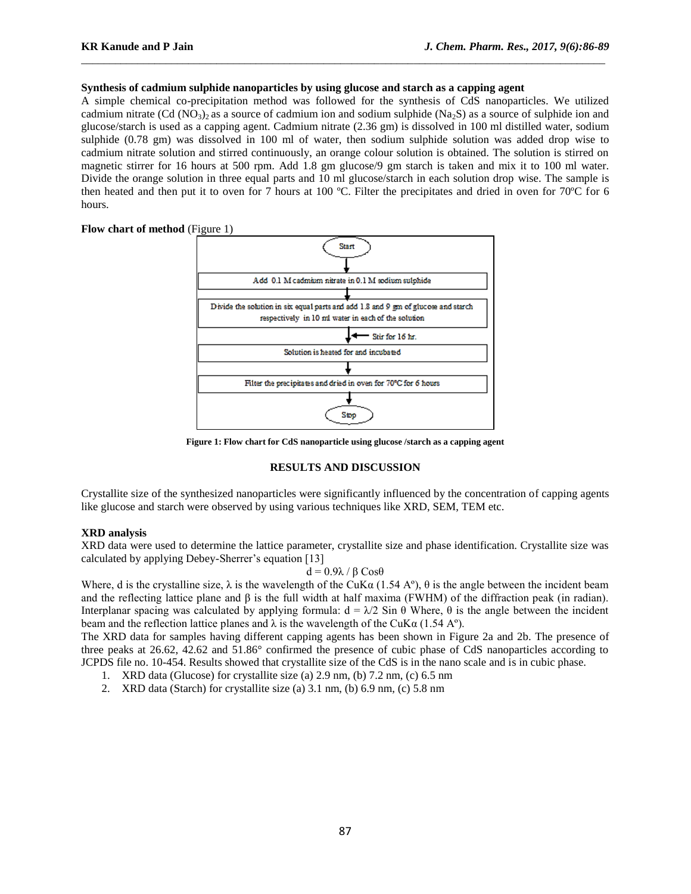### **Synthesis of cadmium sulphide nanoparticles by using glucose and starch as a capping agent**

A simple chemical co-precipitation method was followed for the synthesis of CdS nanoparticles. We utilized cadmium nitrate (Cd (NO<sub>3</sub>)<sub>2</sub> as a source of cadmium ion and sodium sulphide (Na<sub>2</sub>S) as a source of sulphide ion and glucose/starch is used as a capping agent. Cadmium nitrate (2.36 gm) is dissolved in 100 ml distilled water, sodium sulphide (0.78 gm) was dissolved in 100 ml of water, then sodium sulphide solution was added drop wise to cadmium nitrate solution and stirred continuously, an orange colour solution is obtained. The solution is stirred on magnetic stirrer for 16 hours at 500 rpm. Add 1.8 gm glucose/9 gm starch is taken and mix it to 100 ml water. Divide the orange solution in three equal parts and 10 ml glucose/starch in each solution drop wise. The sample is then heated and then put it to oven for 7 hours at 100 ºC. Filter the precipitates and dried in oven for 70ºC for 6 hours.

 $\_$  ,  $\_$  ,  $\_$  ,  $\_$  ,  $\_$  ,  $\_$  ,  $\_$  ,  $\_$  ,  $\_$  ,  $\_$  ,  $\_$  ,  $\_$  ,  $\_$  ,  $\_$  ,  $\_$  ,  $\_$  ,  $\_$  ,  $\_$  ,  $\_$  ,  $\_$  ,  $\_$  ,  $\_$  ,  $\_$  ,  $\_$  ,  $\_$  ,  $\_$  ,  $\_$  ,  $\_$  ,  $\_$  ,  $\_$  ,  $\_$  ,  $\_$  ,  $\_$  ,  $\_$  ,  $\_$  ,  $\_$  ,  $\_$  ,

**Flow chart of method** (Figure 1)



**Figure 1: Flow chart for CdS nanoparticle using glucose /starch as a capping agent**

#### **RESULTS AND DISCUSSION**

Crystallite size of the synthesized nanoparticles were significantly influenced by the concentration of capping agents like glucose and starch were observed by using various techniques like XRD, SEM, TEM etc.

### **XRD analysis**

XRD data were used to determine the lattice parameter, crystallite size and phase identification. Crystallite size was calculated by applying Debey-Sherrer's equation [13]

$$
d = 0.9\lambda / \beta \text{Cos}\theta
$$

Where, d is the crystalline size,  $\lambda$  is the wavelength of the CuKa (1.54 A°),  $\theta$  is the angle between the incident beam and the reflecting lattice plane and β is the full width at half maxima (FWHM) of the diffraction peak (in radian). Interplanar spacing was calculated by applying formula:  $d = \lambda/2$  Sin θ Where, θ is the angle between the incident beam and the reflection lattice planes and  $\lambda$  is the wavelength of the CuK $\alpha$  (1.54 A°).

The XRD data for samples having different capping agents has been shown in Figure 2a and 2b. The presence of three peaks at 26.62, 42.62 and 51.86° confirmed the presence of cubic phase of CdS nanoparticles according to JCPDS file no. 10-454. Results showed that crystallite size of the CdS is in the nano scale and is in cubic phase.

- 1. XRD data (Glucose) for crystallite size (a) 2.9 nm, (b) 7.2 nm, (c) 6.5 nm
- 2. XRD data (Starch) for crystallite size (a) 3.1 nm, (b) 6.9 nm, (c) 5.8 nm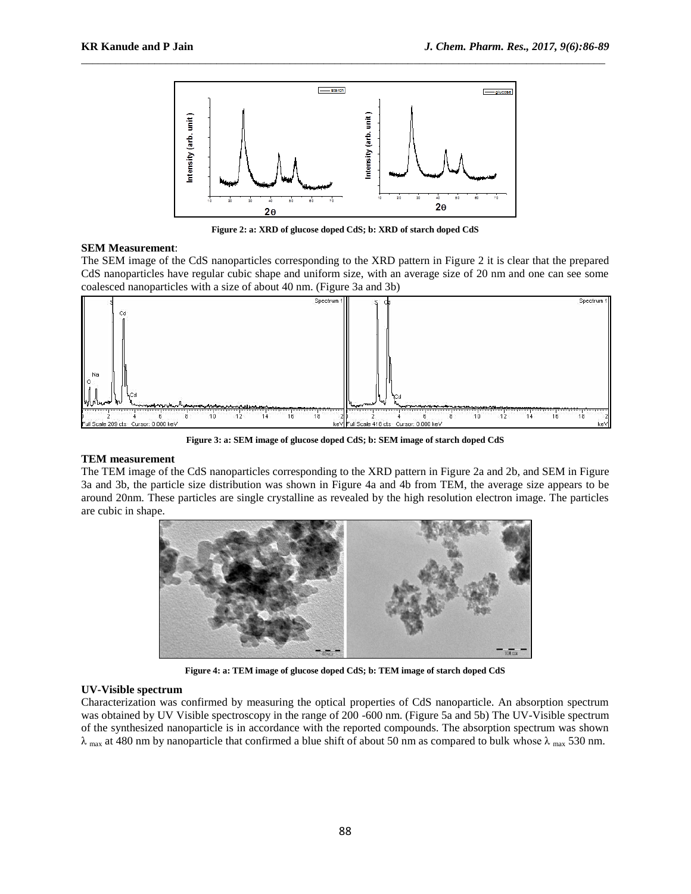

 $\_$  ,  $\_$  ,  $\_$  ,  $\_$  ,  $\_$  ,  $\_$  ,  $\_$  ,  $\_$  ,  $\_$  ,  $\_$  ,  $\_$  ,  $\_$  ,  $\_$  ,  $\_$  ,  $\_$  ,  $\_$  ,  $\_$  ,  $\_$  ,  $\_$  ,  $\_$  ,  $\_$  ,  $\_$  ,  $\_$  ,  $\_$  ,  $\_$  ,  $\_$  ,  $\_$  ,  $\_$  ,  $\_$  ,  $\_$  ,  $\_$  ,  $\_$  ,  $\_$  ,  $\_$  ,  $\_$  ,  $\_$  ,  $\_$  ,

**Figure 2: a: XRD of glucose doped CdS; b: XRD of starch doped CdS**

## **SEM Measurement**:

The SEM image of the CdS nanoparticles corresponding to the XRD pattern in Figure 2 it is clear that the prepared CdS nanoparticles have regular cubic shape and uniform size, with an average size of 20 nm and one can see some coalesced nanoparticles with a size of about 40 nm. (Figure 3a and 3b)



**Figure 3: a: SEM image of glucose doped CdS; b: SEM image of starch doped CdS**

## **TEM measurement**

The TEM image of the CdS nanoparticles corresponding to the XRD pattern in Figure 2a and 2b, and SEM in Figure 3a and 3b, the particle size distribution was shown in Figure 4a and 4b from TEM, the average size appears to be around 20nm. These particles are single crystalline as revealed by the high resolution electron image. The particles are cubic in shape.



**Figure 4: a: TEM image of glucose doped CdS; b: TEM image of starch doped CdS**

## **UV-Visible spectrum**

Characterization was confirmed by measuring the optical properties of CdS nanoparticle. An absorption spectrum was obtained by UV Visible spectroscopy in the range of 200 -600 nm. (Figure 5a and 5b) The UV-Visible spectrum of the synthesized nanoparticle is in accordance with the reported compounds. The absorption spectrum was shown  $\lambda$  max at 480 nm by nanoparticle that confirmed a blue shift of about 50 nm as compared to bulk whose  $\lambda$  max 530 nm.